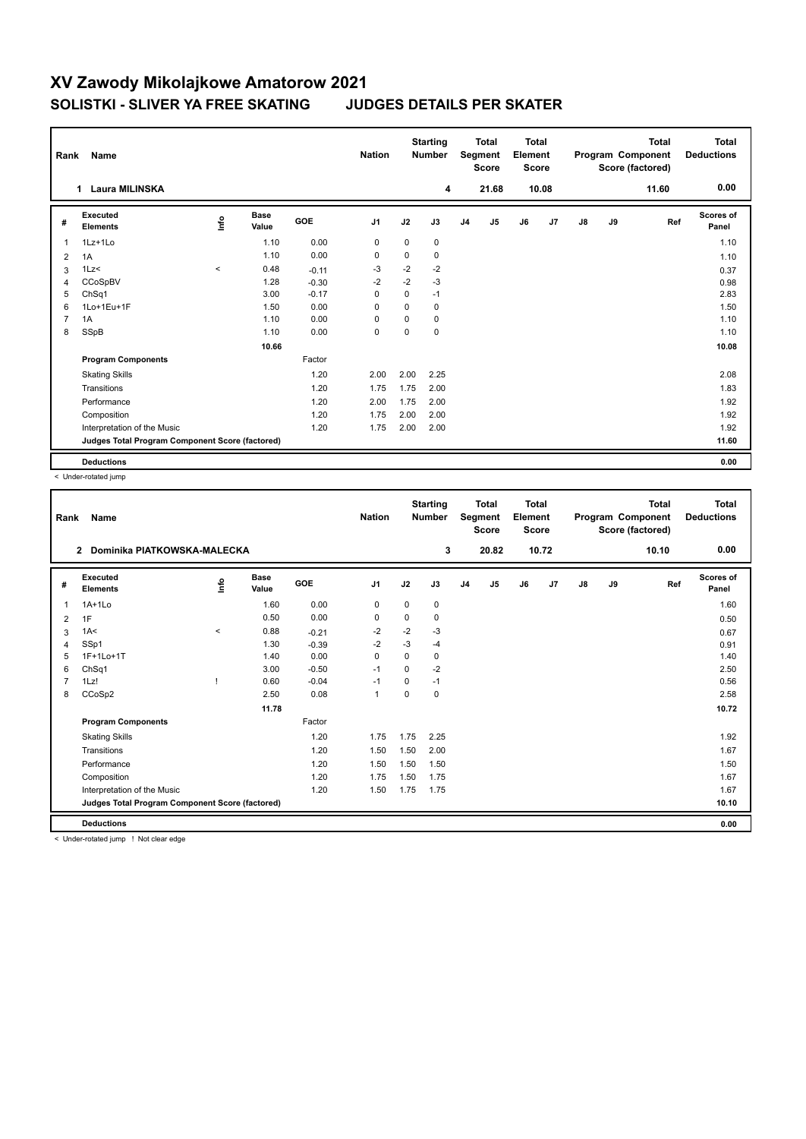## **XV Zawody Mikolajkowe Amatorow 2021 SOLISTKI - SLIVER YA FREE SKATING JUDGES DETAILS PER SKATER**

| Rank           | Name                                            |         |                      |            | <b>Nation</b>  |             | <b>Starting</b><br><b>Number</b> | <b>Total</b><br>Segment<br><b>Score</b> |                | <b>Total</b><br>Element<br><b>Score</b> |                | <b>Total</b><br>Program Component<br>Score (factored) |    |       | <b>Total</b><br><b>Deductions</b> |
|----------------|-------------------------------------------------|---------|----------------------|------------|----------------|-------------|----------------------------------|-----------------------------------------|----------------|-----------------------------------------|----------------|-------------------------------------------------------|----|-------|-----------------------------------|
|                | Laura MILINSKA<br>1                             |         |                      |            |                |             | 4                                |                                         | 21.68          |                                         | 10.08          |                                                       |    | 11.60 | 0.00                              |
| #              | Executed<br><b>Elements</b>                     | lnfo    | <b>Base</b><br>Value | <b>GOE</b> | J <sub>1</sub> | J2          | J3                               | J <sub>4</sub>                          | J <sub>5</sub> | J6                                      | J <sub>7</sub> | J8                                                    | J9 | Ref   | Scores of<br>Panel                |
| $\overline{1}$ | 1Lz+1Lo                                         |         | 1.10                 | 0.00       | $\mathbf 0$    | $\mathbf 0$ | 0                                |                                         |                |                                         |                |                                                       |    |       | 1.10                              |
| 2              | 1A                                              |         | 1.10                 | 0.00       | 0              | 0           | 0                                |                                         |                |                                         |                |                                                       |    |       | 1.10                              |
| 3              | 1Lz<                                            | $\prec$ | 0.48                 | $-0.11$    | $-3$           | $-2$        | $-2$                             |                                         |                |                                         |                |                                                       |    |       | 0.37                              |
| $\overline{4}$ | CCoSpBV                                         |         | 1.28                 | $-0.30$    | $-2$           | $-2$        | $-3$                             |                                         |                |                                         |                |                                                       |    |       | 0.98                              |
| 5              | ChSq1                                           |         | 3.00                 | $-0.17$    | 0              | 0           | $-1$                             |                                         |                |                                         |                |                                                       |    |       | 2.83                              |
| 6              | 1Lo+1Eu+1F                                      |         | 1.50                 | 0.00       | 0              | $\mathbf 0$ | 0                                |                                         |                |                                         |                |                                                       |    |       | 1.50                              |
| $\overline{7}$ | 1A                                              |         | 1.10                 | 0.00       | $\Omega$       | $\Omega$    | 0                                |                                         |                |                                         |                |                                                       |    |       | 1.10                              |
| 8              | SSpB                                            |         | 1.10                 | 0.00       | $\mathbf 0$    | 0           | 0                                |                                         |                |                                         |                |                                                       |    |       | 1.10                              |
|                |                                                 |         | 10.66                |            |                |             |                                  |                                         |                |                                         |                |                                                       |    |       | 10.08                             |
|                | <b>Program Components</b>                       |         |                      | Factor     |                |             |                                  |                                         |                |                                         |                |                                                       |    |       |                                   |
|                | <b>Skating Skills</b>                           |         |                      | 1.20       | 2.00           | 2.00        | 2.25                             |                                         |                |                                         |                |                                                       |    |       | 2.08                              |
|                | Transitions                                     |         |                      | 1.20       | 1.75           | 1.75        | 2.00                             |                                         |                |                                         |                |                                                       |    |       | 1.83                              |
|                | Performance                                     |         |                      | 1.20       | 2.00           | 1.75        | 2.00                             |                                         |                |                                         |                |                                                       |    |       | 1.92                              |
|                | Composition                                     |         |                      | 1.20       | 1.75           | 2.00        | 2.00                             |                                         |                |                                         |                |                                                       |    |       | 1.92                              |
|                | Interpretation of the Music                     |         |                      | 1.20       | 1.75           | 2.00        | 2.00                             |                                         |                |                                         |                |                                                       |    |       | 1.92                              |
|                | Judges Total Program Component Score (factored) |         |                      |            |                |             |                                  |                                         |                |                                         |                |                                                       |    |       | 11.60                             |
|                | <b>Deductions</b>                               |         |                      |            |                |             |                                  |                                         |                |                                         |                |                                                       |    |       | 0.00                              |

< Under-rotated jump

| Rank | Name                                            |          |                      |            | <b>Nation</b> |          | <b>Starting</b><br><b>Number</b> |                | <b>Total</b><br>Segment<br><b>Score</b> | <b>Total</b><br>Element<br><b>Score</b> |       |               |    | <b>Total</b><br>Program Component<br>Score (factored) | <b>Total</b><br><b>Deductions</b> |
|------|-------------------------------------------------|----------|----------------------|------------|---------------|----------|----------------------------------|----------------|-----------------------------------------|-----------------------------------------|-------|---------------|----|-------------------------------------------------------|-----------------------------------|
|      | Dominika PIATKOWSKA-MALECKA<br>$\mathbf{2}$     |          |                      |            |               |          | 3                                |                | 20.82                                   |                                         | 10.72 |               |    | 10.10                                                 | 0.00                              |
| #    | Executed<br><b>Elements</b>                     | Linfo    | <b>Base</b><br>Value | <b>GOE</b> | J1            | J2       | J3                               | J <sub>4</sub> | J5                                      | J6                                      | J7    | $\mathsf{J}8$ | J9 | Ref                                                   | <b>Scores of</b><br>Panel         |
| 1    | $1A+1Lo$                                        |          | 1.60                 | 0.00       | 0             | 0        | 0                                |                |                                         |                                         |       |               |    |                                                       | 1.60                              |
| 2    | 1F                                              |          | 0.50                 | 0.00       | 0             | 0        | 0                                |                |                                         |                                         |       |               |    |                                                       | 0.50                              |
| 3    | 1A<                                             | $\hat{}$ | 0.88                 | $-0.21$    | -2            | $-2$     | $-3$                             |                |                                         |                                         |       |               |    |                                                       | 0.67                              |
| 4    | SSp1                                            |          | 1.30                 | $-0.39$    | $-2$          | $-3$     | $-4$                             |                |                                         |                                         |       |               |    |                                                       | 0.91                              |
| 5    | 1F+1Lo+1T                                       |          | 1.40                 | 0.00       | 0             | 0        | 0                                |                |                                         |                                         |       |               |    |                                                       | 1.40                              |
| 6    | ChSq1                                           |          | 3.00                 | $-0.50$    | $-1$          | $\Omega$ | $-2$                             |                |                                         |                                         |       |               |    |                                                       | 2.50                              |
|      | 1Lz!                                            |          | 0.60                 | $-0.04$    | -1            | $\Omega$ | $-1$                             |                |                                         |                                         |       |               |    |                                                       | 0.56                              |
| 8    | CCoSp2                                          |          | 2.50                 | 0.08       | $\mathbf{1}$  | 0        | 0                                |                |                                         |                                         |       |               |    |                                                       | 2.58                              |
|      |                                                 |          | 11.78                |            |               |          |                                  |                |                                         |                                         |       |               |    |                                                       | 10.72                             |
|      | <b>Program Components</b>                       |          |                      | Factor     |               |          |                                  |                |                                         |                                         |       |               |    |                                                       |                                   |
|      | <b>Skating Skills</b>                           |          |                      | 1.20       | 1.75          | 1.75     | 2.25                             |                |                                         |                                         |       |               |    |                                                       | 1.92                              |
|      | Transitions                                     |          |                      | 1.20       | 1.50          | 1.50     | 2.00                             |                |                                         |                                         |       |               |    |                                                       | 1.67                              |
|      | Performance                                     |          |                      | 1.20       | 1.50          | 1.50     | 1.50                             |                |                                         |                                         |       |               |    |                                                       | 1.50                              |
|      | Composition                                     |          |                      | 1.20       | 1.75          | 1.50     | 1.75                             |                |                                         |                                         |       |               |    |                                                       | 1.67                              |
|      | Interpretation of the Music                     |          |                      | 1.20       | 1.50          | 1.75     | 1.75                             |                |                                         |                                         |       |               |    |                                                       | 1.67                              |
|      | Judges Total Program Component Score (factored) |          |                      |            |               |          |                                  |                |                                         |                                         |       |               |    |                                                       | 10.10                             |
|      | <b>Deductions</b>                               |          |                      |            |               |          |                                  |                |                                         |                                         |       |               |    |                                                       | 0.00                              |

< Under-rotated jump ! Not clear edge